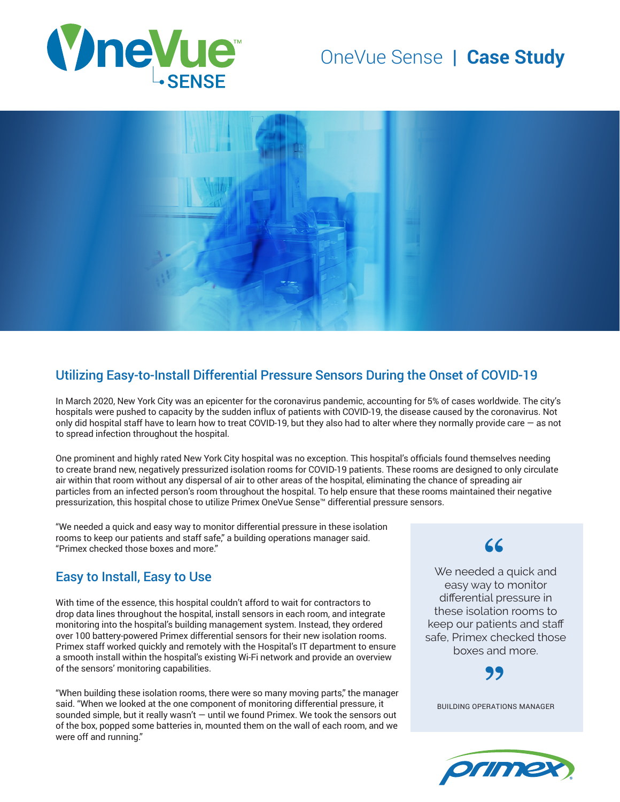

# OneVue Sense **| Case Study**



### Utilizing Easy-to-Install Differential Pressure Sensors During the Onset of COVID-19

In March 2020, New York City was an epicenter for the coronavirus pandemic, accounting for 5% of cases worldwide. The city's hospitals were pushed to capacity by the sudden influx of patients with COVID-19, the disease caused by the coronavirus. Not only did hospital staff have to learn how to treat COVID-19, but they also had to alter where they normally provide care — as not to spread infection throughout the hospital.

One prominent and highly rated New York City hospital was no exception. This hospital's officials found themselves needing to create brand new, negatively pressurized isolation rooms for COVID-19 patients. These rooms are designed to only circulate air within that room without any dispersal of air to other areas of the hospital, eliminating the chance of spreading air particles from an infected person's room throughout the hospital. To help ensure that these rooms maintained their negative pressurization, this hospital chose to utilize Primex OneVue Sense™ differential pressure sensors.

"We needed a quick and easy way to monitor differential pressure in these isolation rooms to keep our patients and staff safe," a building operations manager said. "Primex checked those boxes and more."

### Easy to Install, Easy to Use

With time of the essence, this hospital couldn't afford to wait for contractors to drop data lines throughout the hospital, install sensors in each room, and integrate monitoring into the hospital's building management system. Instead, they ordered over 100 battery-powered Primex differential sensors for their new isolation rooms. Primex staff worked quickly and remotely with the Hospital's IT department to ensure a smooth install within the hospital's existing Wi-Fi network and provide an overview of the sensors' monitoring capabilities.

"When building these isolation rooms, there were so many moving parts," the manager said. "When we looked at the one component of monitoring differential pressure, it sounded simple, but it really wasn't  $-$  until we found Primex. We took the sensors out of the box, popped some batteries in, mounted them on the wall of each room, and we were off and running."

## **"**

We needed a quick and easy way to monitor differential pressure in these isolation rooms to keep our patients and staff safe, Primex checked those boxes and more.

**"**

BUILDING OPERATIONS MANAGER